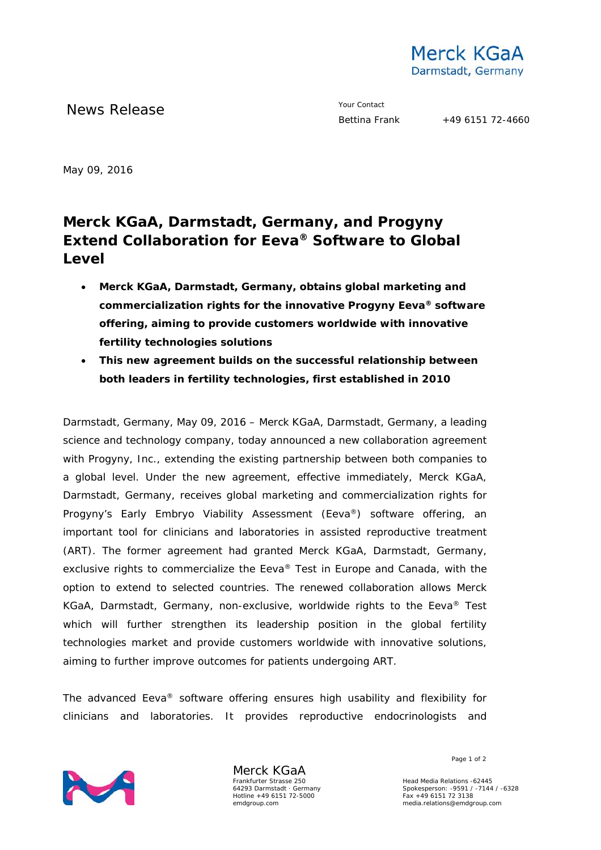

News Release **Your Contact** 

May 09, 2016

## **Merck KGaA, Darmstadt, Germany, and Progyny Extend Collaboration for Eeva® Software to Global Level**

- **Merck KGaA, Darmstadt, Germany, obtains global marketing and commercialization rights for the innovative Progyny Eeva® software offering, aiming to provide customers worldwide with innovative fertility technologies solutions**
- **This new agreement builds on the successful relationship between both leaders in fertility technologies, first established in 2010**

Darmstadt, Germany, May 09, 2016 – Merck KGaA, Darmstadt, Germany, a leading science and technology company, today announced a new collaboration agreement with Progyny, Inc., extending the existing partnership between both companies to a global level. Under the new agreement, effective immediately, Merck KGaA, Darmstadt, Germany, receives global marketing and commercialization rights for Progyny's Early Embryo Viability Assessment (Eeva®) software offering, an important tool for clinicians and laboratories in assisted reproductive treatment (ART). The former agreement had granted Merck KGaA, Darmstadt, Germany, exclusive rights to commercialize the Eeva® Test in Europe and Canada, with the option to extend to selected countries. The renewed collaboration allows Merck KGaA, Darmstadt, Germany, non-exclusive, worldwide rights to the Eeva® Test which will further strengthen its leadership position in the global fertility technologies market and provide customers worldwide with innovative solutions, aiming to further improve outcomes for patients undergoing ART.

The advanced Eeva® software offering ensures high usability and flexibility for clinicians and laboratories. It provides reproductive endocrinologists and



Merck KGaA Frankfurter Strasse 250 64293 Darmstadt · Germany Hotline +49 6151 72-5000 emdgroup.com

Page 1 of 2

Head Media Relations -62445 Spokesperson: -9591 / -7144 / -6328 Fax +49 6151 72 3138 media.relations@emdgroup.com